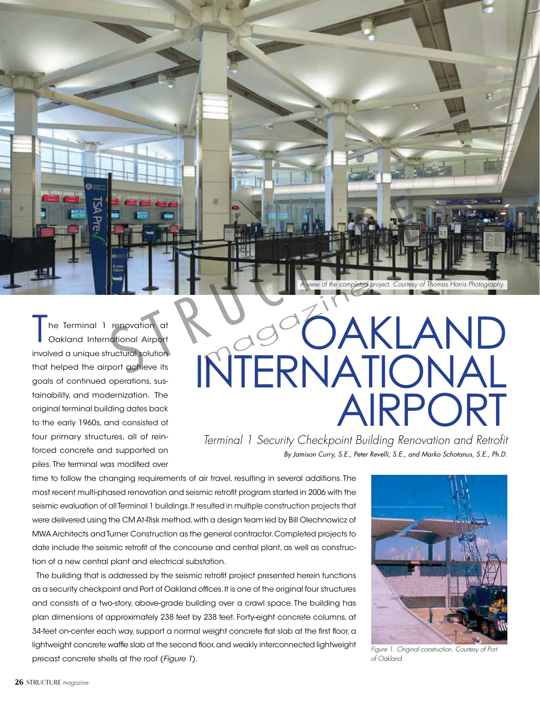

he Terminal 1 renovation at Oakland International Airport involved a unique structural solution that helped the airport achieve its goals of continued operations, sustainability, and modernization. The original terminal building dates back to the early 1960s, and consisted of four primary structures, all of reinforced concrete and supported on piles. The terminal was modified over

# OAKLAND INTERNATIONAL AIRPORT magazine

*Terminal 1 Security Checkpoint Building Renovation and Retrofit By Jamison Curry, S.E., Peter Revelli, S.E., and Marko Schotanus, S.E., Ph.D.*

time to follow the changing requirements of air travel, resulting in several additions. The most recent multi-phased renovation and seismic retrofit program started in 2006 with the seismic evaluation of all Terminal 1 buildings. It resulted in multiple construction projects that were delivered using the CM At-Risk method, with a design team led by Bill Olechnowicz of MWA Architects and Turner Construction as the general contractor. Completed projects to date include the seismic retrofit of the concourse and central plant, as well as construction of a new central plant and electrical substation.

The building that is addressed by the seismic retrofit project presented herein functions as a security checkpoint and Port of Oakland offices. It is one of the original four structures and consists of a two-story, above-grade building over a crawl space. The building has plan dimensions of approximately 238 feet by 238 feet. Forty-eight concrete columns, at 34-feet on-center each way, support a normal weight concrete flat slab at the first floor, a lightweight concrete waffle slab at the second floor, and weakly interconnected lightweight precast concrete shells at the roof (*Figure 1*).



*Figure 1. Original construction. Courtesy of Port of Oakland.*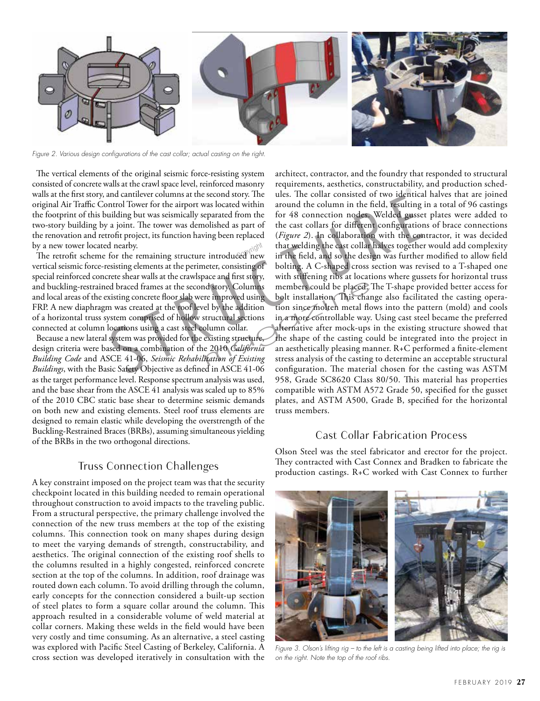

*Figure 2. Various design configurations of the cast collar; actual casting on the right.*

The vertical elements of the original seismic force-resisting system consisted of concrete walls at the crawl space level, reinforced masonry walls at the first story, and cantilever columns at the second story. The original Air Traffic Control Tower for the airport was located within the footprint of this building but was seismically separated from the two-story building by a joint. The tower was demolished as part of the renovation and retrofit project, its function having been replaced by a new tower located nearby.

y a new tower located nearby.<br>The retrofit scheme for the remaining structure introduced new vertical seismic force-resisting elements at the perimeter, consisting of special reinforced concrete shear walls at the crawlspace and first story, and buckling-restrained braced frames at the second story. Columns and local areas of the existing concrete floor slab were improved using FRP. A new diaphragm was created at the roof level by the addition of a horizontal truss system comprised of hollow structural sections connected at column locations using a cast steel column collar.

Because a new lateral system was provided for the existing structure, design criteria were based on a combination of the 2010 *California Building Code* and ASCE 41-06, *Seismic Rehabilitation of Existing Buildings*, with the Basic Safety Objective as defined in ASCE 41-06 as the target performance level. Response spectrum analysis was used, and the base shear from the ASCE 41 analysis was scaled up to 85% of the 2010 CBC static base shear to determine seismic demands on both new and existing elements. Steel roof truss elements are designed to remain elastic while developing the overstrength of the Buckling-Restrained Braces (BRBs), assuming simultaneous yielding of the BRBs in the two orthogonal directions.

### Truss Connection Challenges

A key constraint imposed on the project team was that the security checkpoint located in this building needed to remain operational throughout construction to avoid impacts to the traveling public. From a structural perspective, the primary challenge involved the connection of the new truss members at the top of the existing columns. This connection took on many shapes during design to meet the varying demands of strength, constructability, and aesthetics. The original connection of the existing roof shells to the columns resulted in a highly congested, reinforced concrete section at the top of the columns. In addition, roof drainage was routed down each column. To avoid drilling through the column, early concepts for the connection considered a built-up section of steel plates to form a square collar around the column. This approach resulted in a considerable volume of weld material at collar corners. Making these welds in the field would have been very costly and time consuming. As an alternative, a steel casting was explored with Pacific Steel Casting of Berkeley, California. A cross section was developed iteratively in consultation with the

architect, contractor, and the foundry that responded to structural requirements, aesthetics, constructability, and production schedules. The collar consisted of two identical halves that are joined around the column in the field, resulting in a total of 96 castings for 48 connection nodes. Welded gusset plates were added to the cast collars for different configurations of brace connections (*Figure 2*). In collaboration with the contractor, it was decided that welding the cast collar halves together would add complexity in the field, and so the design was further modified to allow field bolting. A C-shaped cross section was revised to a T-shaped one with stiffening ribs at locations where gussets for horizontal truss members could be placed. The T-shape provided better access for bolt installation. This change also facilitated the casting operation since molten metal flows into the pattern (mold) and cools in a more controllable way. Using cast steel became the preferred alternative after mock-ups in the existing structure showed that the shape of the casting could be integrated into the project in an aesthetically pleasing manner. R+C performed a finite-element stress analysis of the casting to determine an acceptable structural configuration. The material chosen for the casting was ASTM 958, Grade SC8620 Class 80/50. This material has properties compatible with ASTM A572 Grade 50, specified for the gusset plates, and ASTM A500, Grade B, specified for the horizontal truss members. and cantilever columns at the second story. The ules. The collar consisted of two identicantrol Tower for the airport was located within around the column in the field, resulting uilding but was seismically separated from d story. Columns members could be placed.<br>The improved using bolt installation. This char<br>el by the addition tion since molten metal flores<br>tructural sections in a more controllable way.<br>alternative after mock-ups<br>existing

# Cast Collar Fabrication Process

Olson Steel was the steel fabricator and erector for the project. They contracted with Cast Connex and Bradken to fabricate the production castings. R+C worked with Cast Connex to further



*Figure 3. Olson's lifting rig – to the left is a casting being lifted into place; the rig is on the right. Note the top of the roof ribs.*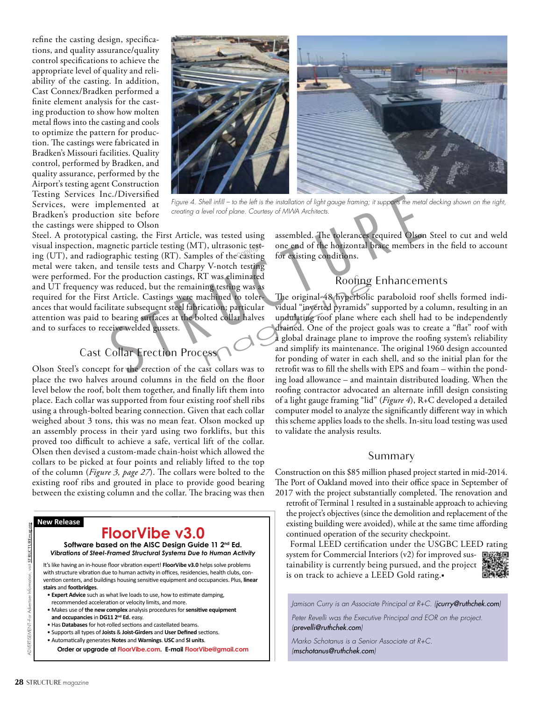refine the casting design, specifications, and quality assurance/quality control specifications to achieve the appropriate level of quality and reliability of the casting. In addition, Cast Connex/Bradken performed a finite element analysis for the casting production to show how molten metal flows into the casting and cools to optimize the pattern for production. The castings were fabricated in Bradken's Missouri facilities. Quality control, performed by Bradken, and quality assurance, performed by the Airport's testing agent Construction Testing Services Inc./Diversified Services, were implemented at Bradken's production site before the castings were shipped to Olson



*Figure 4. Shell infill – to the left is the installation of light gauge framing; it supports the metal decking shown on the right, creating a level roof plane. Courtesy of MWA Architects.*

Steel. A prototypical casting, the First Article, was tested using visual inspection, magnetic particle testing (MT), ultrasonic testvisual inspection, magnetic particle testing (MT), ultrasonic test-<br>ing (UT), and radiographic testing (RT). Samples of the casting metal were taken, and tensile tests and Charpy V-notch testing were performed. For the production castings, RT was eliminated and UT frequency was reduced, but the remaining testing was as required for the First Article. Castings were machined to tolerances that would facilitate subsequent steel fabrication; particular attention was paid to bearing surfaces at the bolted collar halves and to surfaces to receive welded gussets. C./Diversified<br>
Figure 4. Shell infill – to the left is the installation of light gauge framing; it supports the met<br>
on site before<br>
creating a level roof plane. Courtesy of MWA Architects.<br>
castring, the First Article, w

## Cast Collar Erection Process

Olson Steel's concept for the erection of the cast collars was to place the two halves around columns in the field on the floor level below the roof, bolt them together, and finally lift them into place. Each collar was supported from four existing roof shell ribs using a through-bolted bearing connection. Given that each collar weighed about 3 tons, this was no mean feat. Olson mocked up an assembly process in their yard using two forklifts, but this proved too difficult to achieve a safe, vertical lift of the collar. Olsen then devised a custom-made chain-hoist which allowed the collars to be picked at four points and reliably lifted to the top of the column (*Figure 3, page 27*). The collars were bolted to the existing roof ribs and grouted in place to provide good bearing between the existing column and the collar. The bracing was then

#### **New Release**

# **FloorVibe v3.0**

**Software based on the AISC Design Guide 11 2nd Ed.** *Vibrations of Steel-Framed Structural Systems Due to Human Activity* 

It's like having an in-house floor vibration expert! **FloorVibe v3.0** helps solve problems with structure vibration due to human activity in offices, residencies, health clubs, convention centers, and buildings housing sensitive equipment and occupancies. Plus, **linear stairs** and **footbridges**.

- **Expert Advice** such as what live loads to use, how to estimate damping,
- recommended acceleration or velocity limits, and more.
- Makes use of **the new complex** analysis procedures for **sensitive equipment and occupancies** in **DG11 2nd Ed.** easy.
- Has **Databases** for hot-rolled sections and castellated beams.
- Supports all types of **Joists** & **Joist-Girders** and **User Defined** sections.
- Automatically generates **Notes** and **Warnings**. **USC** and **SI units**.

**Order or upgrade at FloorVibe.com. E-mail FloorVibe@gmail.com**

assembled. The tolerances required Olson Steel to cut and weld one end of the horizontal brace members in the field to account for existing conditions.

# Roofing Enhancements

The original 48 hyperbolic paraboloid roof shells formed individual "inverted pyramids" supported by a column, resulting in an undulating roof plane where each shell had to be independently drained. One of the project goals was to create a "flat" roof with a global drainage plane to improve the roofing system's reliability and simplify its maintenance. The original 1960 design accounted for ponding of water in each shell, and so the initial plan for the retrofit was to fill the shells with EPS and foam – within the ponding load allowance – and maintain distributed loading. When the roofing contractor advocated an alternate infill design consisting of a light gauge framing "lid" (*Figure 4*), R+C developed a detailed computer model to analyze the significantly different way in which this scheme applies loads to the shells. In-situ load testing was used to validate the analysis results. mag testing was as<br>
achined to toler-<br>
The original 48 hyperbolic<br>
cation; particular vidual "inverted pyramids"<br>
lted collar halves undulating roof plane when<br>
drained. One of the project<br>
a global drainage plane to i<br>
an

# Summary

Construction on this \$85 million phased project started in mid-2014. The Port of Oakland moved into their office space in September of 2017 with the project substantially completed. The renovation and retrofit of Terminal 1 resulted in a sustainable approach to achieving the project's objectives (since the demolition and replacement of the existing building were avoided), while at the same time affording

continued operation of the security checkpoint. Formal LEED certification under the USGBC LEED rating system for Commercial Interiors (v2) for improved sustainability is currently being pursued, and the project is on track to achieve a LEED Gold rating.■

![](_page_2_Picture_23.jpeg)

*Jamison Curry is an Associate Principal at R+C. (jcurry@ruthchek.com)*

*Peter Revelli was the Executive Principal and EOR on the project. (prevelli@ruthchek.com)*

*Marko Schotanus is a Senior Associate at R+C. (mschotanus@ruthchek.com)*

ADVERTISEMENT–For Advertiser Information, visit STRUCTUREmag.org

dist STRUCTUR